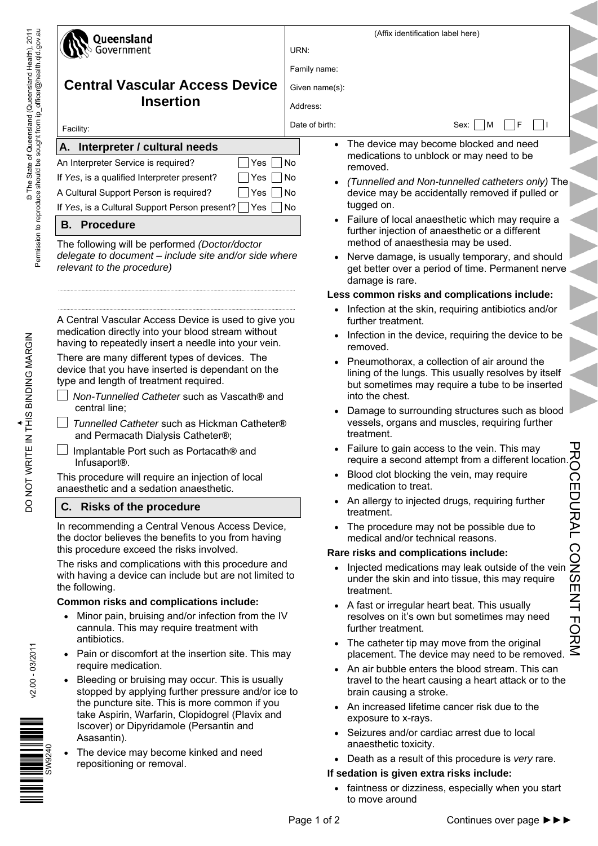| Queensland                                                                                                                                                   | (Affix identification label here)                 |                                                                                                                                                                            |                             |  |  |
|--------------------------------------------------------------------------------------------------------------------------------------------------------------|---------------------------------------------------|----------------------------------------------------------------------------------------------------------------------------------------------------------------------------|-----------------------------|--|--|
| Government                                                                                                                                                   | URN:                                              |                                                                                                                                                                            |                             |  |  |
|                                                                                                                                                              | Family name:                                      |                                                                                                                                                                            |                             |  |  |
| <b>Central Vascular Access Device</b>                                                                                                                        | Given name(s):                                    |                                                                                                                                                                            |                             |  |  |
| <b>Insertion</b>                                                                                                                                             | Address:                                          |                                                                                                                                                                            |                             |  |  |
|                                                                                                                                                              | Date of birth:                                    | F<br>- 11<br>$\vert M$<br>Sex:                                                                                                                                             |                             |  |  |
| Facility:                                                                                                                                                    |                                                   |                                                                                                                                                                            |                             |  |  |
| A. Interpreter / cultural needs                                                                                                                              |                                                   | The device may become blocked and need<br>medications to unblock or may need to be                                                                                         |                             |  |  |
| An Interpreter Service is required?<br>Yes<br>If Yes, is a qualified Interpreter present?<br>Yes                                                             | No<br>No                                          | removed.                                                                                                                                                                   |                             |  |  |
| A Cultural Support Person is required?<br>Yes                                                                                                                | No                                                | (Tunnelled and Non-tunnelled catheters only) The<br>device may be accidentally removed if pulled or                                                                        |                             |  |  |
| If Yes, is a Cultural Support Person present?<br>Yes                                                                                                         | <b>No</b>                                         | tugged on.                                                                                                                                                                 |                             |  |  |
| <b>B.</b> Procedure                                                                                                                                          |                                                   | • Failure of local anaesthetic which may require a                                                                                                                         |                             |  |  |
| The following will be performed (Doctor/doctor                                                                                                               |                                                   | further injection of anaesthetic or a different<br>method of anaesthesia may be used.                                                                                      |                             |  |  |
| delegate to document - include site and/or side where<br>relevant to the procedure)                                                                          | $\bullet$                                         | Nerve damage, is usually temporary, and should<br>get better over a period of time. Permanent nerve<br>damage is rare.                                                     |                             |  |  |
|                                                                                                                                                              |                                                   | Less common risks and complications include:                                                                                                                               |                             |  |  |
| A Central Vascular Access Device is used to give you                                                                                                         |                                                   | Infection at the skin, requiring antibiotics and/or<br>further treatment.                                                                                                  |                             |  |  |
| medication directly into your blood stream without<br>having to repeatedly insert a needle into your vein.<br>There are many different types of devices. The |                                                   | Infection in the device, requiring the device to be<br>removed.                                                                                                            |                             |  |  |
| device that you have inserted is dependant on the<br>type and length of treatment required.<br>Non-Tunnelled Catheter such as Vascath® and                   |                                                   | Pneumothorax, a collection of air around the<br>lining of the lungs. This usually resolves by itself<br>but sometimes may require a tube to be inserted<br>into the chest. |                             |  |  |
| central line;<br>Tunnelled Catheter such as Hickman Catheter®                                                                                                |                                                   | Damage to surrounding structures such as blood<br>vessels, organs and muscles, requiring further                                                                           |                             |  |  |
| and Permacath Dialysis Catheter®;                                                                                                                            |                                                   | treatment.                                                                                                                                                                 | Ⴎ                           |  |  |
| Implantable Port such as Portacath® and<br>Infusaport <sup>®</sup> .                                                                                         | $\bullet$                                         | Failure to gain access to the vein. This may<br>require a second attempt from a different location.                                                                        | 观                           |  |  |
| This procedure will require an injection of local<br>anaesthetic and a sedation anaesthetic.                                                                 |                                                   | Blood clot blocking the vein, may require<br>medication to treat.                                                                                                          |                             |  |  |
| C. Risks of the procedure                                                                                                                                    |                                                   | • An allergy to injected drugs, requiring further<br>treatment.                                                                                                            |                             |  |  |
| In recommending a Central Venous Access Device,<br>the doctor believes the benefits to you from having                                                       |                                                   | • The procedure may not be possible due to<br>medical and/or technical reasons.                                                                                            |                             |  |  |
| this procedure exceed the risks involved.                                                                                                                    |                                                   | Rare risks and complications include:                                                                                                                                      |                             |  |  |
| The risks and complications with this procedure and<br>with having a device can include but are not limited to<br>the following.                             |                                                   | Injected medications may leak outside of the vein<br>under the skin and into tissue, this may require<br>treatment.                                                        | <b>CEDURAL CONSERVITORS</b> |  |  |
| Common risks and complications include:                                                                                                                      |                                                   | A fast or irregular heart beat. This usually                                                                                                                               |                             |  |  |
| Minor pain, bruising and/or infection from the IV<br>cannula. This may require treatment with<br>antibiotics.                                                |                                                   | resolves on it's own but sometimes may need<br>further treatment.<br>The catheter tip may move from the original                                                           |                             |  |  |
| Pain or discomfort at the insertion site. This may<br>$\bullet$                                                                                              | $\bullet$                                         | placement. The device may need to be removed.                                                                                                                              |                             |  |  |
| require medication.<br>Bleeding or bruising may occur. This is usually<br>stopped by applying further pressure and/or ice to                                 |                                                   | An air bubble enters the blood stream. This can<br>travel to the heart causing a heart attack or to the<br>brain causing a stroke.                                         |                             |  |  |
| the puncture site. This is more common if you<br>take Aspirin, Warfarin, Clopidogrel (Plavix and                                                             |                                                   | An increased lifetime cancer risk due to the<br>exposure to x-rays.                                                                                                        |                             |  |  |
| Iscover) or Dipyridamole (Persantin and<br>Asasantin).<br>The device may become kinked and need                                                              |                                                   | Seizures and/or cardiac arrest due to local<br>anaesthetic toxicity.                                                                                                       |                             |  |  |
| SW9240<br>repositioning or removal.                                                                                                                          | Death as a result of this procedure is very rare. |                                                                                                                                                                            |                             |  |  |
|                                                                                                                                                              |                                                   | If sedation is given extra risks include:<br>faintness or dizziness, especially when you start<br>to move around                                                           |                             |  |  |
|                                                                                                                                                              | Page 1 of 2                                       | Continues over page ▶▶▶                                                                                                                                                    |                             |  |  |

 $\overline{\phantom{a}}$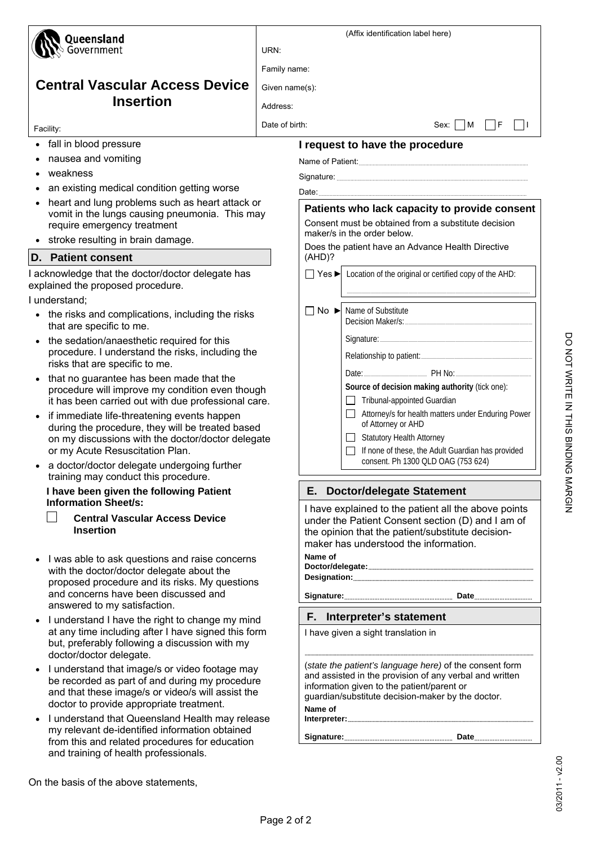| Queensland                                                                                                          |                | (Affix identification label here)   |                                                                                                           |  |
|---------------------------------------------------------------------------------------------------------------------|----------------|-------------------------------------|-----------------------------------------------------------------------------------------------------------|--|
| Government                                                                                                          | URN:           |                                     |                                                                                                           |  |
|                                                                                                                     | Family name:   |                                     |                                                                                                           |  |
| <b>Central Vascular Access Device</b>                                                                               | Given name(s): |                                     |                                                                                                           |  |
| <b>Insertion</b>                                                                                                    | Address:       |                                     |                                                                                                           |  |
|                                                                                                                     | Date of birth: |                                     | $Sex: \mid \mid M$<br>F                                                                                   |  |
| Facility:                                                                                                           |                |                                     |                                                                                                           |  |
| • fall in blood pressure<br>nausea and vomiting                                                                     |                |                                     | I request to have the procedure                                                                           |  |
| weakness                                                                                                            |                |                                     |                                                                                                           |  |
| an existing medical condition getting worse                                                                         |                |                                     |                                                                                                           |  |
| heart and lung problems such as heart attack or                                                                     |                |                                     |                                                                                                           |  |
| vomit in the lungs causing pneumonia. This may                                                                      |                |                                     | Patients who lack capacity to provide consent<br>Consent must be obtained from a substitute decision      |  |
| require emergency treatment<br>stroke resulting in brain damage.                                                    |                |                                     | maker/s in the order below.                                                                               |  |
| <b>D.</b> Patient consent                                                                                           |                | (AHD)?                              | Does the patient have an Advance Health Directive                                                         |  |
|                                                                                                                     |                |                                     |                                                                                                           |  |
| I acknowledge that the doctor/doctor delegate has<br>explained the proposed procedure.<br>I understand;             |                |                                     | $\Box$ Yes $\blacktriangleright$ Location of the original or certified copy of the AHD:                   |  |
| the risks and complications, including the risks                                                                    |                | $No \triangleright$                 | Name of Substitute                                                                                        |  |
| that are specific to me.                                                                                            |                |                                     |                                                                                                           |  |
| the sedation/anaesthetic required for this                                                                          |                |                                     |                                                                                                           |  |
| procedure. I understand the risks, including the<br>risks that are specific to me.                                  |                |                                     |                                                                                                           |  |
| that no guarantee has been made that the                                                                            |                |                                     | Date: 2008 PH No: 2008 PH No: 2008 PH No: 2008 PH No: 2008 PH No: 2008 PH No: 2008 PH No: 2008 PM No      |  |
| procedure will improve my condition even though                                                                     |                |                                     | Source of decision making authority (tick one):                                                           |  |
| it has been carried out with due professional care.                                                                 |                |                                     | Tribunal-appointed Guardian<br>$\mathsf{L}$                                                               |  |
| if immediate life-threatening events happen<br>during the procedure, they will be treated based                     |                |                                     | Attorney/s for health matters under Enduring Power<br>$\mathsf{L}$<br>of Attorney or AHD                  |  |
| on my discussions with the doctor/doctor delegate                                                                   |                |                                     | <b>Statutory Health Attorney</b><br>$\Box$                                                                |  |
| or my Acute Resuscitation Plan.                                                                                     |                |                                     | If none of these, the Adult Guardian has provided<br>ΙI<br>consent. Ph 1300 QLD OAG (753 624)             |  |
| a doctor/doctor delegate undergoing further<br>training may conduct this procedure.                                 |                |                                     |                                                                                                           |  |
| I have been given the following Patient<br><b>Information Sheet/s:</b>                                              |                | Е.                                  | <b>Doctor/delegate Statement</b>                                                                          |  |
| <b>Central Vascular Access Device</b>                                                                               |                |                                     | I have explained to the patient all the above points<br>under the Patient Consent section (D) and I am of |  |
| <b>Insertion</b>                                                                                                    |                |                                     | the opinion that the patient/substitute decision-                                                         |  |
|                                                                                                                     |                |                                     | maker has understood the information.                                                                     |  |
| I was able to ask questions and raise concerns<br>with the doctor/doctor delegate about the                         |                | Name of                             |                                                                                                           |  |
| proposed procedure and its risks. My questions                                                                      |                |                                     |                                                                                                           |  |
| and concerns have been discussed and                                                                                |                |                                     |                                                                                                           |  |
| answered to my satisfaction.                                                                                        |                |                                     | F. Interpreter's statement                                                                                |  |
| I understand I have the right to change my mind<br>$\bullet$<br>at any time including after I have signed this form |                | I have given a sight translation in |                                                                                                           |  |
| but, preferably following a discussion with my                                                                      |                |                                     |                                                                                                           |  |
| doctor/doctor delegate.<br>I understand that image/s or video footage may                                           |                |                                     | (state the patient's language here) of the consent form                                                   |  |
| be recorded as part of and during my procedure                                                                      |                |                                     | and assisted in the provision of any verbal and written                                                   |  |
| and that these image/s or video/s will assist the                                                                   |                |                                     | information given to the patient/parent or<br>guardian/substitute decision-maker by the doctor.           |  |
| doctor to provide appropriate treatment.                                                                            |                | Name of                             |                                                                                                           |  |
| I understand that Queensland Health may release<br>$\bullet$<br>my relevant de-identified information obtained      |                |                                     |                                                                                                           |  |
| from this and related procedures for education                                                                      |                |                                     |                                                                                                           |  |

DO NOT WRITE IN THIS BINDING MARGIN DO NOT WRITE IN THIS BINDING MARGIN

03/2011 - v2.00

03/2011 - v2.00

and training of health professionals.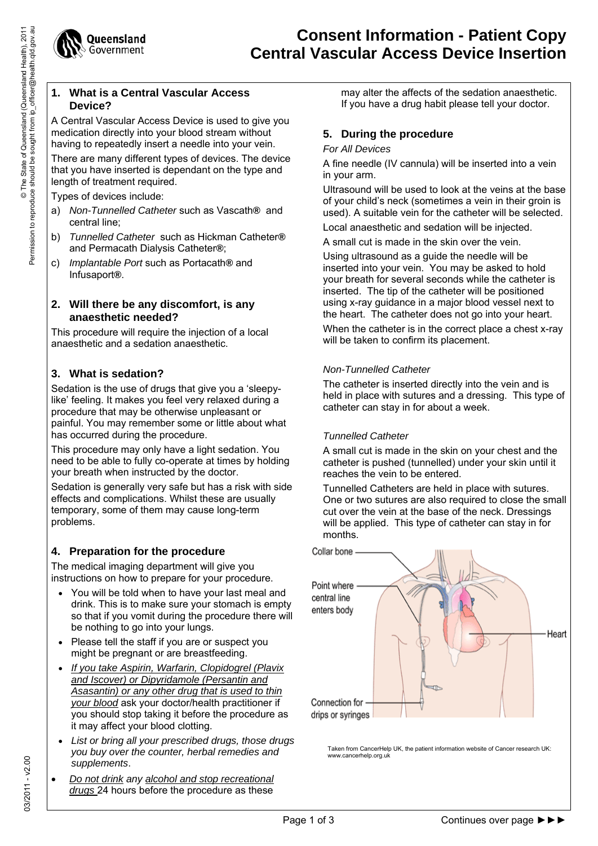

#### **1. What is a Central Vascular Access Device?**

A Central Vascular Access Device is used to give you medication directly into your blood stream without having to repeatedly insert a needle into your vein.

There are many different types of devices. The device that you have inserted is dependant on the type and length of treatment required.

Types of devices include:

- a) *Non-Tunnelled Catheter* such as Vascath**®** and central line;
- b) *Tunnelled Catheter* such as Hickman Catheter**®**  and Permacath Dialysis Catheter**®**;
- c) *Implantable Port* such as Portacath**®** and Infusaport**®**.

## **2. Will there be any discomfort, is any anaesthetic needed?**

This procedure will require the injection of a local anaesthetic and a sedation anaesthetic.

# **3. What is sedation?**

Sedation is the use of drugs that give you a 'sleepylike' feeling. It makes you feel very relaxed during a procedure that may be otherwise unpleasant or painful. You may remember some or little about what has occurred during the procedure.

This procedure may only have a light sedation. You need to be able to fully co-operate at times by holding your breath when instructed by the doctor.

Sedation is generally very safe but has a risk with side effects and complications. Whilst these are usually temporary, some of them may cause long-term problems.

# **4. Preparation for the procedure**

The medical imaging department will give you instructions on how to prepare for your procedure.

- You will be told when to have your last meal and drink. This is to make sure your stomach is empty so that if you vomit during the procedure there will be nothing to go into your lungs.
- Please tell the staff if you are or suspect you might be pregnant or are breastfeeding.
- *If you take Aspirin, Warfarin, Clopidogrel (Plavix and Iscover) or Dipyridamole (Persantin and Asasantin) or any other drug that is used to thin your blood* ask your doctor/health practitioner if you should stop taking it before the procedure as it may affect your blood clotting.
- *List or bring all your prescribed drugs, those drugs you buy over the counter, herbal remedies and supplements*.
- *Do not drink any alcohol and stop recreational drugs* 24 hours before the procedure as these

may alter the affects of the sedation anaesthetic. If you have a drug habit please tell your doctor.

# **5. During the procedure**

### *For All Devices*

A fine needle (IV cannula) will be inserted into a vein in your arm.

Ultrasound will be used to look at the veins at the base of your child's neck (sometimes a vein in their groin is used). A suitable vein for the catheter will be selected. Local anaesthetic and sedation will be injected.

A small cut is made in the skin over the vein.

Using ultrasound as a guide the needle will be inserted into your vein. You may be asked to hold your breath for several seconds while the catheter is inserted. The tip of the catheter will be positioned using x-ray guidance in a major blood vessel next to the heart. The catheter does not go into your heart.

When the catheter is in the correct place a chest x-ray will be taken to confirm its placement.

# *Non-Tunnelled Catheter*

The catheter is inserted directly into the vein and is held in place with sutures and a dressing. This type of catheter can stay in for about a week.

## *Tunnelled Catheter*

A small cut is made in the skin on your chest and the catheter is pushed (tunnelled) under your skin until it reaches the vein to be entered.

Tunnelled Catheters are held in place with sutures. One or two sutures are also required to close the small cut over the vein at the base of the neck. Dressings will be applied. This type of catheter can stay in for months.



Taken from CancerHelp UK, the patient information website of Cancer research UK: www.cancerhelp.org.uk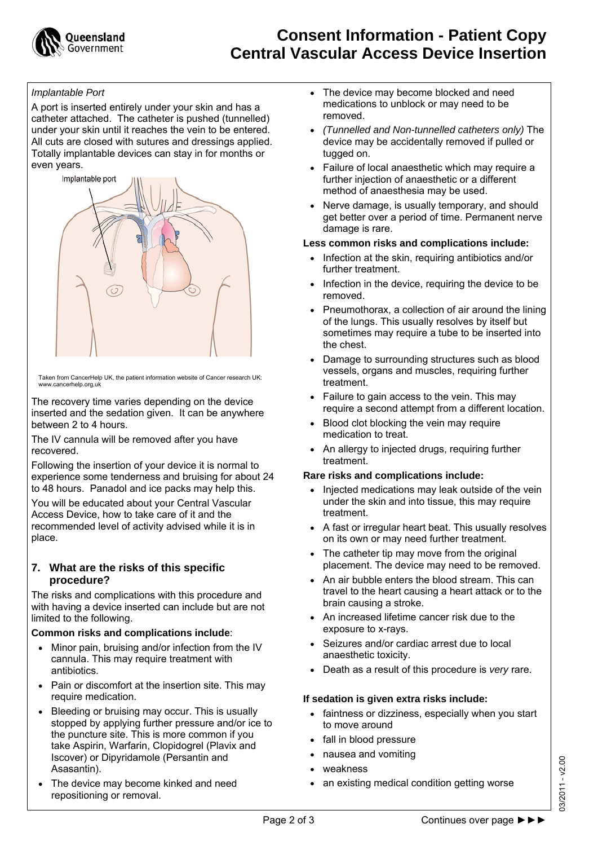

#### *Implantable Port*

A port is inserted entirely under your skin and has a catheter attached. The catheter is pushed (tunnelled) under your skin until it reaches the vein to be entered. All cuts are closed with sutures and dressings applied. Totally implantable devices can stay in for months or even years.



www.cancerhelp.org.uk Taken from CancerHelp UK, the patient information website of Cancer research UK:

The recovery time varies depending on the device inserted and the sedation given. It can be anywhere between 2 to 4 hours.

The IV cannula will be removed after you have recovered.

Following the insertion of your device it is normal to experience some tenderness and bruising for about 24 to 48 hours. Panadol and ice packs may help this.

You will be educated about your Central Vascular Access Device, how to take care of it and the recommended level of activity advised while it is in place.

#### **7. What are the risks of this specific procedure?**

The risks and complications with this procedure and with having a device inserted can include but are not limited to the following.

#### **Common risks and complications include**:

- Minor pain, bruising and/or infection from the IV cannula. This may require treatment with antibiotics.
- Pain or discomfort at the insertion site. This may require medication.
- Bleeding or bruising may occur. This is usually stopped by applying further pressure and/or ice to the puncture site. This is more common if you take Aspirin, Warfarin, Clopidogrel (Plavix and Iscover) or Dipyridamole (Persantin and Asasantin).
- The device may become kinked and need repositioning or removal.
- The device may become blocked and need medications to unblock or may need to be removed.
- *(Tunnelled and Non-tunnelled catheters only)* The device may be accidentally removed if pulled or tugged on.
- Failure of local anaesthetic which may require a further injection of anaesthetic or a different method of anaesthesia may be used.
- Nerve damage, is usually temporary, and should get better over a period of time. Permanent nerve damage is rare.

#### **Less common risks and complications include:**

- Infection at the skin, requiring antibiotics and/or further treatment.
- Infection in the device, requiring the device to be removed.
- Pneumothorax, a collection of air around the lining of the lungs. This usually resolves by itself but sometimes may require a tube to be inserted into the chest.
- Damage to surrounding structures such as blood vessels, organs and muscles, requiring further treatment.
- Failure to gain access to the vein. This may require a second attempt from a different location.
- Blood clot blocking the vein may require medication to treat.
- An allergy to injected drugs, requiring further treatment.

#### **Rare risks and complications include:**

- Injected medications may leak outside of the vein under the skin and into tissue, this may require treatment.
- A fast or irregular heart beat. This usually resolves on its own or may need further treatment.
- The catheter tip may move from the original placement. The device may need to be removed.
- An air bubble enters the blood stream. This can travel to the heart causing a heart attack or to the brain causing a stroke.
- An increased lifetime cancer risk due to the exposure to x-rays.
- Seizures and/or cardiac arrest due to local anaesthetic toxicity.
- Death as a result of this procedure is *very* rare.

## **If sedation is given extra risks include:**

- faintness or dizziness, especially when you start to move around
- fall in blood pressure
- nausea and vomiting
- weakness
- an existing medical condition getting worse